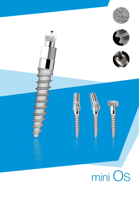





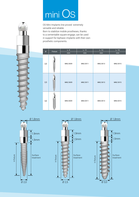## mini OS

OS Mini Implants line proved extremely versatile and reliable. Born to stabilize mobile prostheses, thanks

to a cementable square engage, can be used in support for biphasic implants with their own prosthetic components.

| Ø     | Fixture | L.9            | L. 11          | L.13               | L. 15          |
|-------|---------|----------------|----------------|--------------------|----------------|
| 2,0   |         | mm<br>MN2.0X09 | mm<br>MN2.0X11 | $\,mm$<br>MN2.0X13 | mm<br>MN2.0X15 |
| 2,5   |         | MN2.5X09       | MN2.5X11       | MN2.5X13           | MN2.5X15       |
| $3,0$ |         | MN3.0X09       | MN3.0X11       | MN3.0X13           | MN3.0X15       |





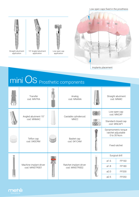## Low open caps fixed in the prosthesis





## mini OS Prosthetic components

|  | Transfer<br>cod. MNTRA                   |  | Analog<br>cod. MNANA                     |  | Straight abutment<br>cod. MNMC                           |       |
|--|------------------------------------------|--|------------------------------------------|--|----------------------------------------------------------|-------|
|  | Angled abutment 15°                      |  | Castable cylindercod.                    |  | Low open cap<br>cod. MNCAP                               |       |
|  | cod. MNMAC                               |  | <b>MNCC</b>                              |  | Standard closed cap<br>cod. MNCAP1                       |       |
|  |                                          |  |                                          |  | Dynamometric torque<br>ratchet adjustable<br>0 to 35 Ncm |       |
|  | Teflon cap<br>cod. 040CRM                |  | Basket cap<br>cod. 041 CAM               |  | Fixed ratchet                                            |       |
|  |                                          |  | Ratchet implant driver<br>cod. MINSTR002 |  | Surgical drill                                           |       |
|  | Machine implant driver<br>cod. MINSTR001 |  |                                          |  | Ø1.6                                                     | FP160 |
|  |                                          |  |                                          |  | Ø1.8                                                     | FP180 |
|  |                                          |  |                                          |  | $\varphi$ 2.0                                            | FP200 |
|  |                                          |  |                                          |  | $\varphi$ 2.5                                            | FP250 |